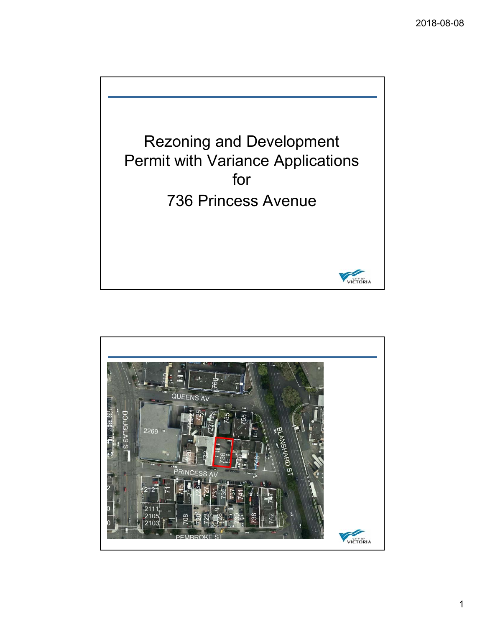

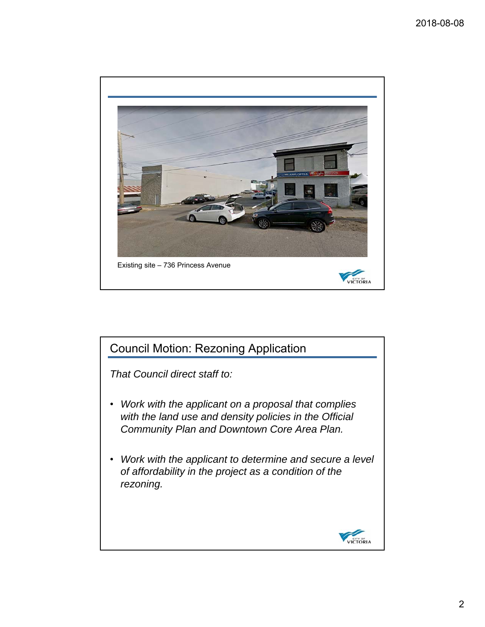

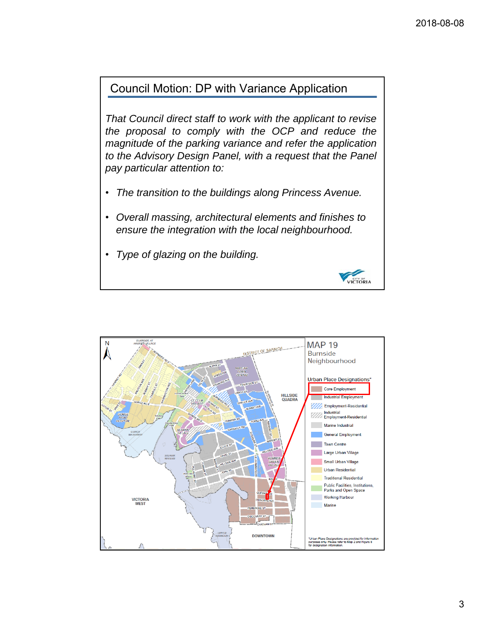VICTORIA

# Council Motion: DP with Variance Application

*That Council direct staff to work with the applicant to revise the proposal to comply with the OCP and reduce the magnitude of the parking variance and refer the application to the Advisory Design Panel, with a request that the Panel pay particular attention to:*

- *The transition to the buildings along Princess Avenue.*
- *Overall massing, architectural elements and finishes to ensure the integration with the local neighbourhood.*
- *Type of glazing on the building.*

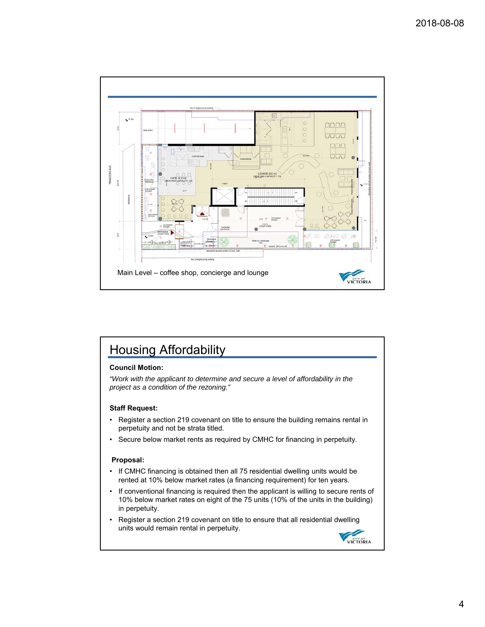

# Housing Affordability

## **Council Motion:**

*"Work with the applicant to determine and secure a level of affordability in the project as a condition of the rezoning."*

### **Staff Request:**

- Register a section 219 covenant on title to ensure the building remains rental in perpetuity and not be strata titled.
- Secure below market rents as required by CMHC for financing in perpetuity.

#### **Proposal:**

- If CMHC financing is obtained then all 75 residential dwelling units would be rented at 10% below market rates (a financing requirement) for ten years.
- If conventional financing is required then the applicant is willing to secure rents of 10% below market rates on eight of the 75 units (10% of the units in the building) in perpetuity.
- Register a section 219 covenant on title to ensure that all residential dwelling units would remain rental in perpetuity.

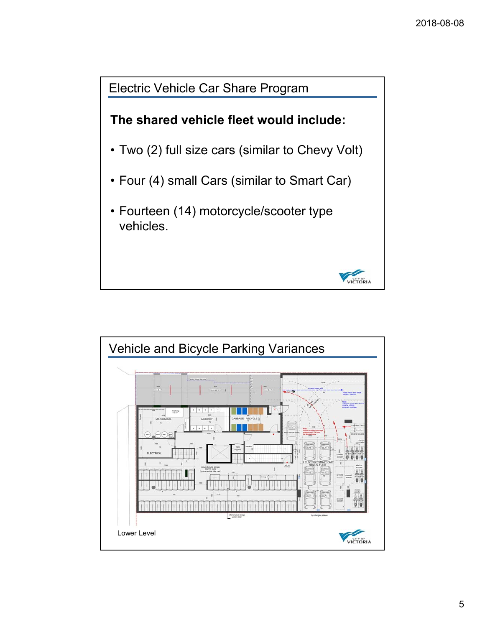